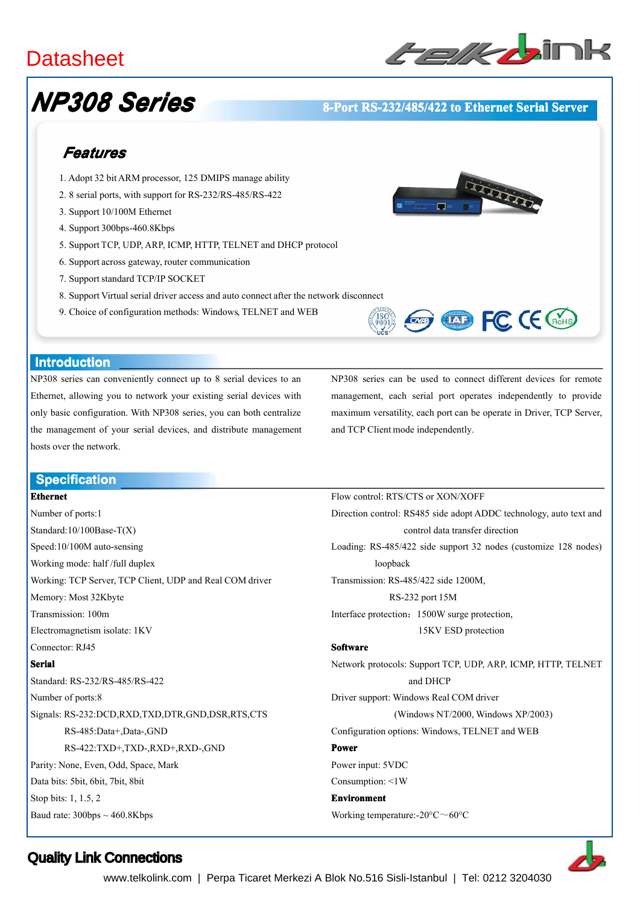# **Datasheet**



# *NP308 Series*

# **8-Port RS-232/485/422 to Ethernet Serial Server**

# *Features*

- 1. Adopt 32 bitARM processor, 125 DMIPS manage ability
- 2. 8 serial ports, with suppor<sup>t</sup> for RS-232/RS-485/RS-422
- 3. Support 10/100M Ethernet
- 4. Support 300bps-460.8Kbps
- 5. Support TCP, UDP, ARP, ICMP, HTTP, TELNET and DHCP protocol
- 6. Support across gateway, router communication
- 7. Support standard TCP/IP SOCKET
- 8. Support Virtual serial driver access and auto connect after the network disconnect
- 9. Choice of configuration methods: Windows, TELNET and WEB



### **Introduction Introduction**

NP308 series can conveniently connect up to 8 serial devices to an Ethernet, allowing you to network your existing serial devices with only basic configuration. With NP308 series, you can both centralize the managemen<sup>t</sup> of your serial devices, and distribute managemen<sup>t</sup> hosts over the network.

NP308 series can be used to connect different devices for remote management, each serial por<sup>t</sup> operates independently to provide maximum versatility, each por<sup>t</sup> can be operate in Driver, TCP Server, and TCP Client mode independently.

**EXP FC CE CROHS** 

Flow control: RTS/CTS or XON/XOFF

## **Specification Specification**

### **Ethernet**

Number of ports:1 Standard:10/100Base-T(X) Speed:10/100M auto-sensing Working mode: half /full duplex Working: TCP Server, TCP Client, UDP and Real COM driver Memory: Most 32Kbyte Transmission: 100m Electromagnetism isolate: 1KV Connector: RJ45 **Serial** Standard: RS-232/RS-485/RS-422 Number of ports:8 Signals: RS-232:DCD,RXD,TXD,DTR,GND,DSR,RTS,CTS RS-485:Data+,Data-,GND RS-422:TXD+,TXD-,RXD+,RXD-,GND Parity: None, Even, Odd, Space, Mark Data bits: 5bit, 6bit, 7bit, 8bit Stop bits: 1, 1.5, 2 Baud rate:  $300bps \sim 460.8Kbps$ 

Direction control: RS485 side adopt ADDC technology, auto text and control data transfer direction Loading: RS-485/422 side suppor<sup>t</sup> 32 nodes (customize 128 nodes) loopback Transmission: RS-485/422 side 1200M, RS-232 por<sup>t</sup> 15M Interface protection:1500W surge protection, 15KV ESD protection **Software Software** Network protocols: Support TCP, UDP, ARP, ICMP, HTTP, TELNET and DHCP Driver support: Windows Real COM driver (Windows NT/2000, Windows XP/2003) Configuration options: Windows, TELNET and WEB **Power** Power input: 5VDC Consumption: <1W **Environment Environment** Working temperature:-20°C~60°C

# Quality Link Connections